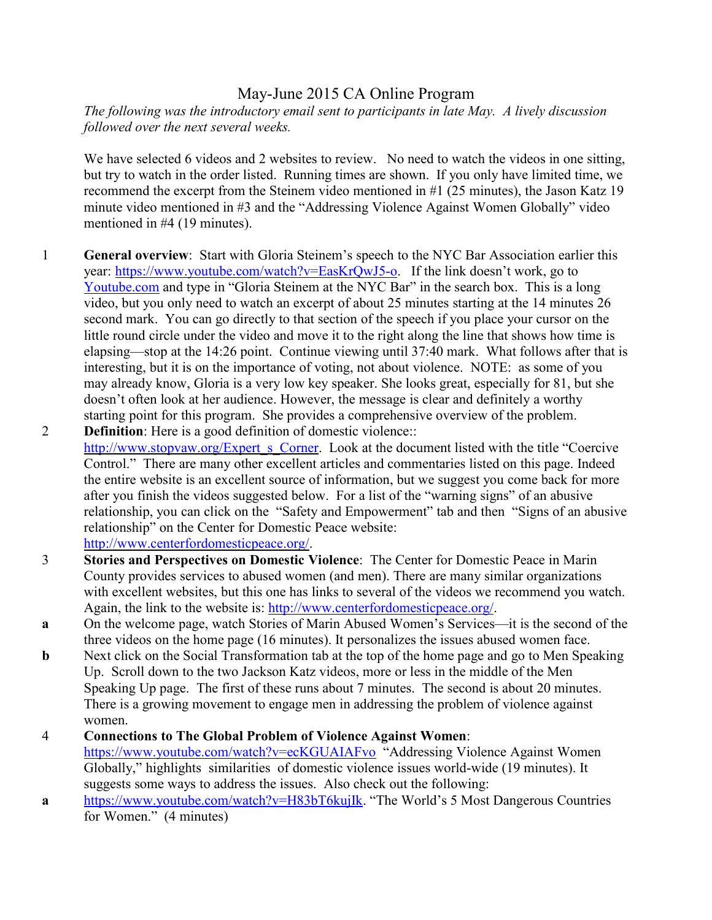## May-June 2015 CA Online Program

*The following was the introductory email sent to participants in late May. A lively discussion followed over the next several weeks.*

We have selected 6 videos and 2 websites to review. No need to watch the videos in one sitting, but try to watch in the order listed. Running times are shown. If you only have limited time, we recommend the excerpt from the Steinem video mentioned in #1 (25 minutes), the Jason Katz 19 minute video mentioned in #3 and the "Addressing Violence Against Women Globally" video mentioned in #4 (19 minutes).

- 1 **General overview**: Start with Gloria Steinem's speech to the NYC Bar Association earlier this year: https://www.youtube.com/watch?v=EasKrQwJ5-o. If the link doesn't work, go to Youtube.com and type in "Gloria Steinem at the NYC Bar" in the search box. This is a long video, but you only need to watch an excerpt of about 25 minutes starting at the 14 minutes 26 second mark. You can go directly to that section of the speech if you place your cursor on the little round circle under the video and move it to the right along the line that shows how time is elapsing—stop at the 14:26 point. Continue viewing until 37:40 mark. What follows after that is interesting, but it is on the importance of voting, not about violence. NOTE: as some of you may already know, Gloria is a very low key speaker. She looks great, especially for 81, but she doesn't often look at her audience. However, the message is clear and definitely a worthy starting point for this program. She provides a comprehensive overview of the problem.
- 2 **Definition**: Here is a good definition of domestic violence:: http://www.stopvaw.org/Expert s Corner. Look at the document listed with the title "Coercive" Control." There are many other excellent articles and commentaries listed on this page. Indeed the entire website is an excellent source of information, but we suggest you come back for more after you finish the videos suggested below. For a list of the "warning signs" of an abusive relationship, you can click on the "Safety and Empowerment" tab and then "Signs of an abusive relationship" on the Center for Domestic Peace website: http://www.centerfordomesticpeace.org/.
- 3 **Stories and Perspectives on Domestic Violence**: The Center for Domestic Peace in Marin County provides services to abused women (and men). There are many similar organizations with excellent websites, but this one has links to several of the videos we recommend you watch. Again, the link to the website is: http://www.centerfordomesticpeace.org/.
- **a** On the welcome page, watch Stories of Marin Abused Women's Services—it is the second of the three videos on the home page (16 minutes). It personalizes the issues abused women face.
- **b** Next click on the Social Transformation tab at the top of the home page and go to Men Speaking Up. Scroll down to the two Jackson Katz videos, more or less in the middle of the Men Speaking Up page. The first of these runs about 7 minutes. The second is about 20 minutes. There is a growing movement to engage men in addressing the problem of violence against women.

## 4 **Connections to The Global Problem of Violence Against Women**:

https://www.youtube.com/watch?v=ecKGUAIAFvo "Addressing Violence Against Women Globally," highlights similarities of domestic violence issues world-wide (19 minutes). It suggests some ways to address the issues. Also check out the following:

**a** https://www.youtube.com/watch?v=H83bT6kujIk. "The World's 5 Most Dangerous Countries for Women." (4 minutes)